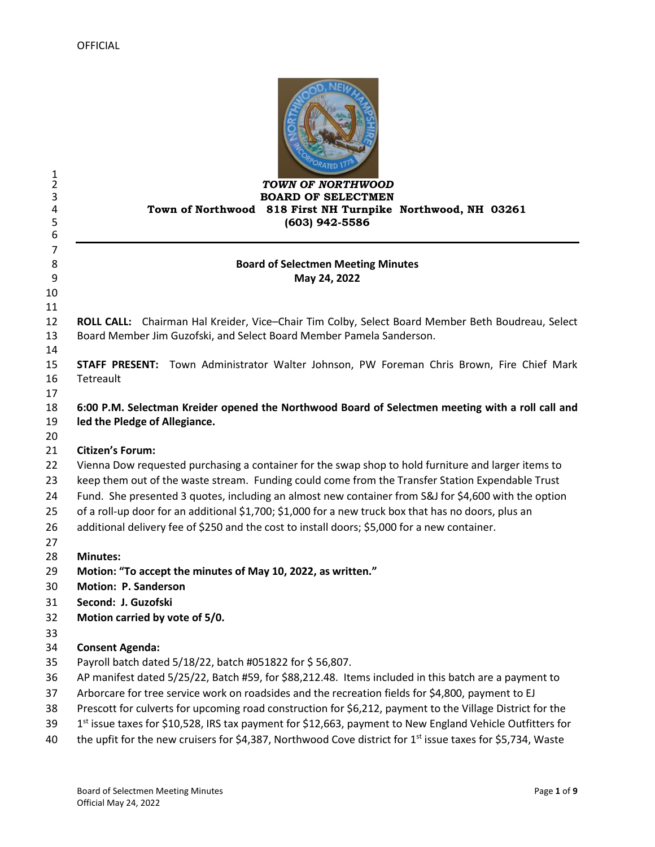| 1<br>$\overline{2}$<br>3<br>4<br>5 | TOWN OF NORTHWOOD<br><b>BOARD OF SELECTMEN</b><br>Town of Northwood 818 First NH Turnpike Northwood, NH 03261<br>(603) 942-5586                                                                                                     |
|------------------------------------|-------------------------------------------------------------------------------------------------------------------------------------------------------------------------------------------------------------------------------------|
| 6<br>7<br>8<br>9<br>10             | <b>Board of Selectmen Meeting Minutes</b><br>May 24, 2022                                                                                                                                                                           |
| 11<br>12<br>13<br>14               | ROLL CALL: Chairman Hal Kreider, Vice-Chair Tim Colby, Select Board Member Beth Boudreau, Select<br>Board Member Jim Guzofski, and Select Board Member Pamela Sanderson.                                                            |
| 15<br>16<br>17                     | STAFF PRESENT: Town Administrator Walter Johnson, PW Foreman Chris Brown, Fire Chief Mark<br>Tetreault                                                                                                                              |
| 18<br>19<br>20                     | 6:00 P.M. Selectman Kreider opened the Northwood Board of Selectmen meeting with a roll call and<br>led the Pledge of Allegiance.                                                                                                   |
| 21                                 | <b>Citizen's Forum:</b>                                                                                                                                                                                                             |
| 22                                 | Vienna Dow requested purchasing a container for the swap shop to hold furniture and larger items to                                                                                                                                 |
| 23                                 | keep them out of the waste stream. Funding could come from the Transfer Station Expendable Trust                                                                                                                                    |
| 24<br>25<br>26                     | Fund. She presented 3 quotes, including an almost new container from S&J for \$4,600 with the option<br>of a roll-up door for an additional \$1,700; \$1,000 for a new truck box that has no doors, plus an                         |
| 27                                 | additional delivery fee of \$250 and the cost to install doors; \$5,000 for a new container.                                                                                                                                        |
|                                    | <b>Minutes:</b>                                                                                                                                                                                                                     |
|                                    | Motion: "To accept the minutes of May 10, 2022, as written."                                                                                                                                                                        |
|                                    | <b>Motion: P. Sanderson</b>                                                                                                                                                                                                         |
|                                    | Second: J. Guzofski                                                                                                                                                                                                                 |
|                                    | Motion carried by vote of 5/0.                                                                                                                                                                                                      |
|                                    |                                                                                                                                                                                                                                     |
|                                    | <b>Consent Agenda:</b>                                                                                                                                                                                                              |
|                                    | Payroll batch dated 5/18/22, batch #051822 for \$56,807.                                                                                                                                                                            |
|                                    | AP manifest dated 5/25/22, Batch #59, for \$88,212.48. Items included in this batch are a payment to                                                                                                                                |
|                                    | Arborcare for tree service work on roadsides and the recreation fields for \$4,800, payment to EJ                                                                                                                                   |
|                                    | Prescott for culverts for upcoming road construction for \$6,212, payment to the Village District for the                                                                                                                           |
|                                    | 1st issue taxes for \$10,528, IRS tax payment for \$12,663, payment to New England Vehicle Outfitters for<br>the upfit for the new cruisers for \$4,387, Northwood Cove district for 1 <sup>st</sup> issue taxes for \$5,734, Waste |
|                                    |                                                                                                                                                                                                                                     |

OD, NEW H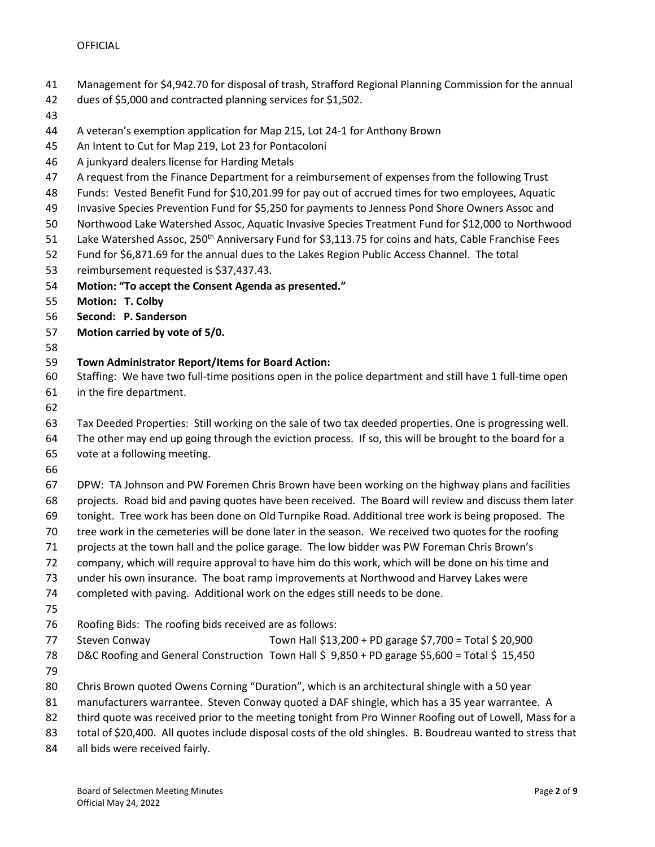- Management for \$4,942.70 for disposal of trash, Strafford Regional Planning Commission for the annual
- dues of \$5,000 and contracted planning services for \$1,502.
- 
- A veteran's exemption application for Map 215, Lot 24-1 for Anthony Brown
- An Intent to Cut for Map 219, Lot 23 for Pontacoloni
- A junkyard dealers license for Harding Metals
- A request from the Finance Department for a reimbursement of expenses from the following Trust
- Funds: Vested Benefit Fund for \$10,201.99 for pay out of accrued times for two employees, Aquatic
- Invasive Species Prevention Fund for \$5,250 for payments to Jenness Pond Shore Owners Assoc and
- Northwood Lake Watershed Assoc, Aquatic Invasive Species Treatment Fund for \$12,000 to Northwood
- 51 Lake Watershed Assoc, 250<sup>th</sup> Anniversary Fund for \$3,113.75 for coins and hats, Cable Franchise Fees
- Fund for \$6,871.69 for the annual dues to the Lakes Region Public Access Channel. The total
- reimbursement requested is \$37,437.43.
- **Motion: "To accept the Consent Agenda as presented."**
- **Motion: T. Colby**
- **Second: P. Sanderson**
- **Motion carried by vote of 5/0.**
- 

## **Town Administrator Report/Items for Board Action:**

- Staffing: We have two full-time positions open in the police department and still have 1 full-time open
- in the fire department.
- 

Tax Deeded Properties: Still working on the sale of two tax deeded properties. One is progressing well.

 The other may end up going through the eviction process. If so, this will be brought to the board for a vote at a following meeting.

DPW: TA Johnson and PW Foremen Chris Brown have been working on the highway plans and facilities

- projects. Road bid and paving quotes have been received. The Board will review and discuss them later
- tonight. Tree work has been done on Old Turnpike Road. Additional tree work is being proposed. The
- tree work in the cemeteries will be done later in the season. We received two quotes for the roofing
- projects at the town hall and the police garage. The low bidder was PW Foreman Chris Brown's
- company, which will require approval to have him do this work, which will be done on his time and
- under his own insurance. The boat ramp improvements at Northwood and Harvey Lakes were
- completed with paving. Additional work on the edges still needs to be done.
- 
- Roofing Bids: The roofing bids received are as follows:
- Steven Conway Town Hall \$13,200 + PD garage \$7,700 = Total \$ 20,900 78 D&C Roofing and General Construction Town Hall \$ 9,850 + PD garage \$5,600 = Total \$ 15,450
- 
- Chris Brown quoted Owens Corning "Duration", which is an architectural shingle with a 50 year
- manufacturers warrantee. Steven Conway quoted a DAF shingle, which has a 35 year warrantee. A
- 82 third quote was received prior to the meeting tonight from Pro Winner Roofing out of Lowell, Mass for a
- 83 total of \$20,400. All quotes include disposal costs of the old shingles. B. Boudreau wanted to stress that
- all bids were received fairly.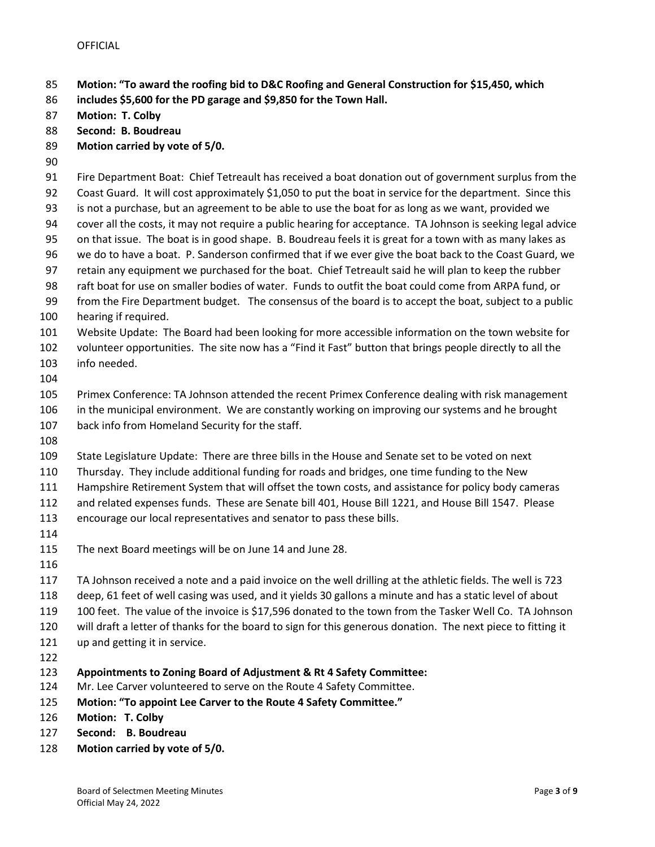- **Motion: "To award the roofing bid to D&C Roofing and General Construction for \$15,450, which**
- **includes \$5,600 for the PD garage and \$9,850 for the Town Hall.**
- **Motion: T. Colby**
- **Second: B. Boudreau**
- **Motion carried by vote of 5/0.**
- 
- Fire Department Boat: Chief Tetreault has received a boat donation out of government surplus from the
- Coast Guard. It will cost approximately \$1,050 to put the boat in service for the department. Since this is not a purchase, but an agreement to be able to use the boat for as long as we want, provided we
- cover all the costs, it may not require a public hearing for acceptance. TA Johnson is seeking legal advice
- on that issue. The boat is in good shape. B. Boudreau feels it is great for a town with as many lakes as
- we do to have a boat. P. Sanderson confirmed that if we ever give the boat back to the Coast Guard, we
- retain any equipment we purchased for the boat. Chief Tetreault said he will plan to keep the rubber
- raft boat for use on smaller bodies of water. Funds to outfit the boat could come from ARPA fund, or
- from the Fire Department budget. The consensus of the board is to accept the boat, subject to a public hearing if required.
- Website Update: The Board had been looking for more accessible information on the town website for
- volunteer opportunities. The site now has a "Find it Fast" button that brings people directly to all the info needed.
- 

 Primex Conference: TA Johnson attended the recent Primex Conference dealing with risk management in the municipal environment. We are constantly working on improving our systems and he brought back info from Homeland Security for the staff.

State Legislature Update: There are three bills in the House and Senate set to be voted on next

- Thursday. They include additional funding for roads and bridges, one time funding to the New
- Hampshire Retirement System that will offset the town costs, and assistance for policy body cameras
- and related expenses funds. These are Senate bill 401, House Bill 1221, and House Bill 1547. Please
- encourage our local representatives and senator to pass these bills.
- 
- The next Board meetings will be on June 14 and June 28.
- 

TA Johnson received a note and a paid invoice on the well drilling at the athletic fields. The well is 723

- deep, 61 feet of well casing was used, and it yields 30 gallons a minute and has a static level of about
- 100 feet. The value of the invoice is \$17,596 donated to the town from the Tasker Well Co. TA Johnson
- will draft a letter of thanks for the board to sign for this generous donation. The next piece to fitting it
- up and getting it in service.
- 
- **Appointments to Zoning Board of Adjustment & Rt 4 Safety Committee:**
- Mr. Lee Carver volunteered to serve on the Route 4 Safety Committee.
- **Motion: "To appoint Lee Carver to the Route 4 Safety Committee."**
- **Motion: T. Colby**
- **Second: B. Boudreau**
- **Motion carried by vote of 5/0.**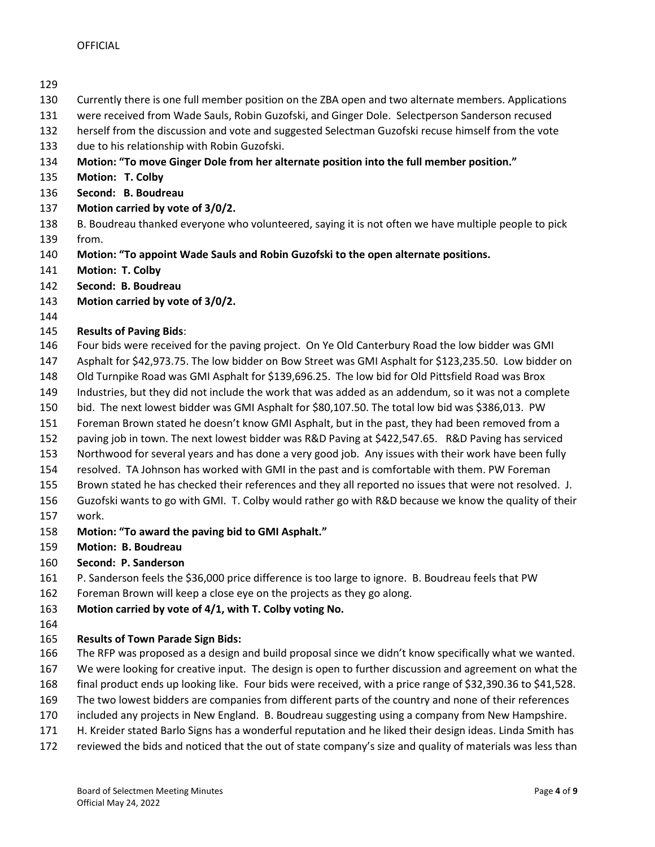- Currently there is one full member position on the ZBA open and two alternate members. Applications
- were received from Wade Sauls, Robin Guzofski, and Ginger Dole. Selectperson Sanderson recused
- herself from the discussion and vote and suggested Selectman Guzofski recuse himself from the vote
- due to his relationship with Robin Guzofski.
- **Motion: "To move Ginger Dole from her alternate position into the full member position."**
- **Motion: T. Colby**
- **Second: B. Boudreau**
- **Motion carried by vote of 3/0/2.**
- B. Boudreau thanked everyone who volunteered, saying it is not often we have multiple people to pick from.
- **Motion: "To appoint Wade Sauls and Robin Guzofski to the open alternate positions.**
- **Motion: T. Colby**
- **Second: B. Boudreau**
- **Motion carried by vote of 3/0/2.**
- 

## **Results of Paving Bids**:

- Four bids were received for the paving project. On Ye Old Canterbury Road the low bidder was GMI
- Asphalt for \$42,973.75. The low bidder on Bow Street was GMI Asphalt for \$123,235.50. Low bidder on
- Old Turnpike Road was GMI Asphalt for \$139,696.25. The low bid for Old Pittsfield Road was Brox
- Industries, but they did not include the work that was added as an addendum, so it was not a complete
- bid. The next lowest bidder was GMI Asphalt for \$80,107.50. The total low bid was \$386,013. PW
- Foreman Brown stated he doesn't know GMI Asphalt, but in the past, they had been removed from a
- paving job in town. The next lowest bidder was R&D Paving at \$422,547.65. R&D Paving has serviced
- Northwood for several years and has done a very good job. Any issues with their work have been fully
- resolved. TA Johnson has worked with GMI in the past and is comfortable with them. PW Foreman
- Brown stated he has checked their references and they all reported no issues that were not resolved. J.
- Guzofski wants to go with GMI. T. Colby would rather go with R&D because we know the quality of their work.
- **Motion: "To award the paving bid to GMI Asphalt."**
- **Motion: B. Boudreau**
- **Second: P. Sanderson**
- P. Sanderson feels the \$36,000 price difference is too large to ignore. B. Boudreau feels that PW
- Foreman Brown will keep a close eye on the projects as they go along.
- **Motion carried by vote of 4/1, with T. Colby voting No.**
- 
- **Results of Town Parade Sign Bids:**
- The RFP was proposed as a design and build proposal since we didn't know specifically what we wanted.
- We were looking for creative input. The design is open to further discussion and agreement on what the
- final product ends up looking like. Four bids were received, with a price range of \$32,390.36 to \$41,528.
- The two lowest bidders are companies from different parts of the country and none of their references
- included any projects in New England. B. Boudreau suggesting using a company from New Hampshire.
- H. Kreider stated Barlo Signs has a wonderful reputation and he liked their design ideas. Linda Smith has
- reviewed the bids and noticed that the out of state company's size and quality of materials was less than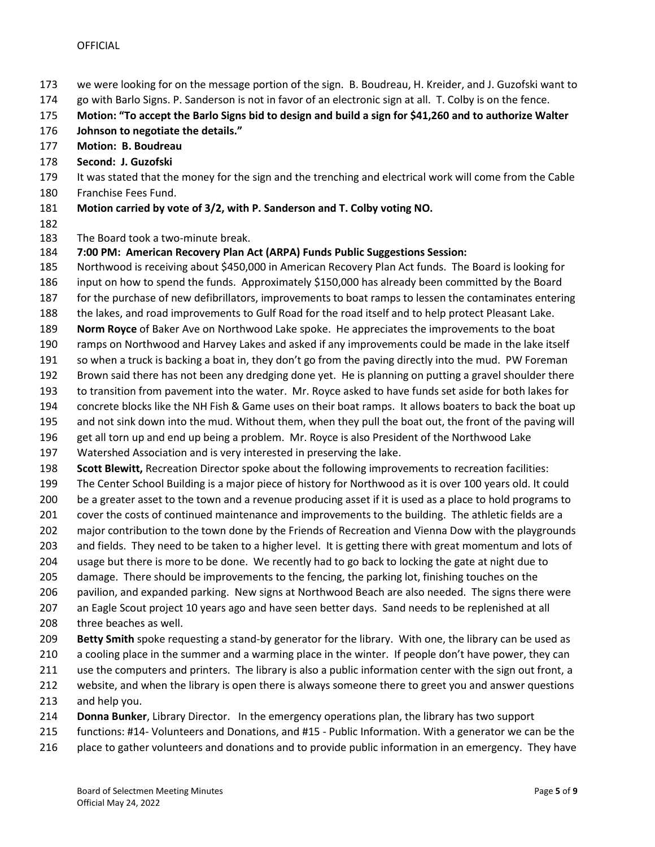- we were looking for on the message portion of the sign. B. Boudreau, H. Kreider, and J. Guzofski want to
- go with Barlo Signs. P. Sanderson is not in favor of an electronic sign at all. T. Colby is on the fence.
- **Motion: "To accept the Barlo Signs bid to design and build a sign for \$41,260 and to authorize Walter**
- **Johnson to negotiate the details."**
- **Motion: B. Boudreau**
- **Second: J. Guzofski**
- It was stated that the money for the sign and the trenching and electrical work will come from the Cable Franchise Fees Fund.
- **Motion carried by vote of 3/2, with P. Sanderson and T. Colby voting NO.**
- 

The Board took a two-minute break.

- **7:00 PM: American Recovery Plan Act (ARPA) Funds Public Suggestions Session:**
- Northwood is receiving about \$450,000 in American Recovery Plan Act funds. The Board is looking for
- input on how to spend the funds. Approximately \$150,000 has already been committed by the Board
- for the purchase of new defibrillators, improvements to boat ramps to lessen the contaminates entering
- the lakes, and road improvements to Gulf Road for the road itself and to help protect Pleasant Lake.
- **Norm Royce** of Baker Ave on Northwood Lake spoke. He appreciates the improvements to the boat
- ramps on Northwood and Harvey Lakes and asked if any improvements could be made in the lake itself
- so when a truck is backing a boat in, they don't go from the paving directly into the mud. PW Foreman
- Brown said there has not been any dredging done yet. He is planning on putting a gravel shoulder there
- to transition from pavement into the water. Mr. Royce asked to have funds set aside for both lakes for
- concrete blocks like the NH Fish & Game uses on their boat ramps. It allows boaters to back the boat up
- and not sink down into the mud. Without them, when they pull the boat out, the front of the paving will
- get all torn up and end up being a problem. Mr. Royce is also President of the Northwood Lake
- Watershed Association and is very interested in preserving the lake.
- **Scott Blewitt,** Recreation Director spoke about the following improvements to recreation facilities:
- The Center School Building is a major piece of history for Northwood as it is over 100 years old. It could
- be a greater asset to the town and a revenue producing asset if it is used as a place to hold programs to
- cover the costs of continued maintenance and improvements to the building. The athletic fields are a
- major contribution to the town done by the Friends of Recreation and Vienna Dow with the playgrounds
- and fields. They need to be taken to a higher level. It is getting there with great momentum and lots of
- usage but there is more to be done. We recently had to go back to locking the gate at night due to
- damage. There should be improvements to the fencing, the parking lot, finishing touches on the
- pavilion, and expanded parking. New signs at Northwood Beach are also needed. The signs there were
- an Eagle Scout project 10 years ago and have seen better days. Sand needs to be replenished at all
- three beaches as well.
- **Betty Smith** spoke requesting a stand-by generator for the library. With one, the library can be used as
- 210 a cooling place in the summer and a warming place in the winter. If people don't have power, they can
- use the computers and printers. The library is also a public information center with the sign out front, a
- website, and when the library is open there is always someone there to greet you and answer questions
- and help you.
- **Donna Bunker**, Library Director. In the emergency operations plan, the library has two support
- functions: #14- Volunteers and Donations, and #15 Public Information. With a generator we can be the
- 216 place to gather volunteers and donations and to provide public information in an emergency. They have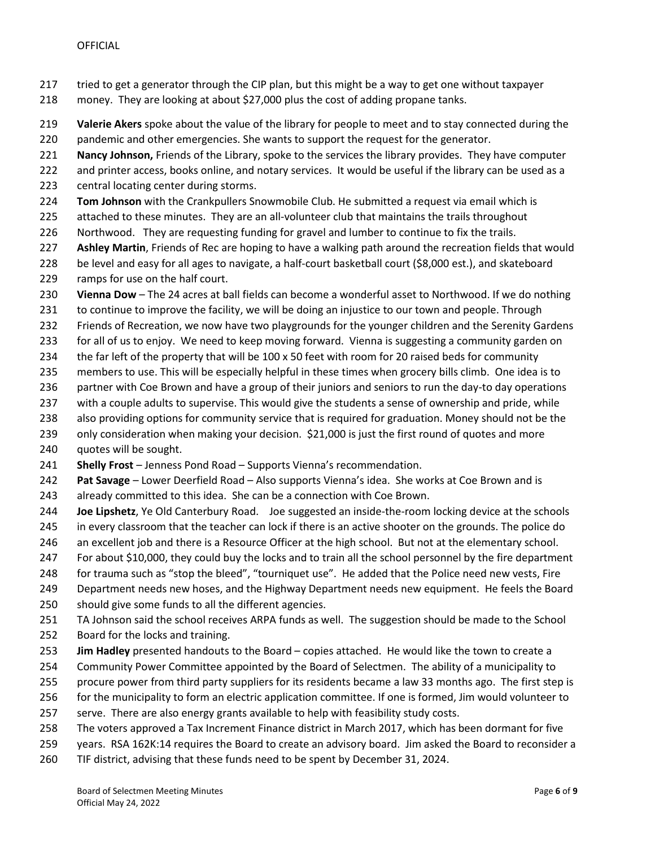- tried to get a generator through the CIP plan, but this might be a way to get one without taxpayer
- money. They are looking at about \$27,000 plus the cost of adding propane tanks.
- **Valerie Akers** spoke about the value of the library for people to meet and to stay connected during the
- pandemic and other emergencies. She wants to support the request for the generator.
- **Nancy Johnson,** Friends of the Library, spoke to the services the library provides. They have computer
- and printer access, books online, and notary services. It would be useful if the library can be used as a
- central locating center during storms.
- **Tom Johnson** with the Crankpullers Snowmobile Club. He submitted a request via email which is
- 225 attached to these minutes. They are an all-volunteer club that maintains the trails throughout
- Northwood. They are requesting funding for gravel and lumber to continue to fix the trails.
- **Ashley Martin**, Friends of Rec are hoping to have a walking path around the recreation fields that would
- be level and easy for all ages to navigate, a half-court basketball court (\$8,000 est.), and skateboard ramps for use on the half court.
- **Vienna Dow** The 24 acres at ball fields can become a wonderful asset to Northwood. If we do nothing
- to continue to improve the facility, we will be doing an injustice to our town and people. Through
- Friends of Recreation, we now have two playgrounds for the younger children and the Serenity Gardens
- for all of us to enjoy. We need to keep moving forward. Vienna is suggesting a community garden on
- the far left of the property that will be 100 x 50 feet with room for 20 raised beds for community
- members to use. This will be especially helpful in these times when grocery bills climb. One idea is to
- 236 partner with Coe Brown and have a group of their juniors and seniors to run the day-to day operations
- with a couple adults to supervise. This would give the students a sense of ownership and pride, while
- also providing options for community service that is required for graduation. Money should not be the
- only consideration when making your decision. \$21,000 is just the first round of quotes and more
- quotes will be sought.
- **Shelly Frost** Jenness Pond Road Supports Vienna's recommendation.
- **Pat Savage** Lower Deerfield Road Also supports Vienna's idea. She works at Coe Brown and is
- already committed to this idea. She can be a connection with Coe Brown.
- **Joe Lipshetz**, Ye Old Canterbury Road. Joe suggested an inside-the-room locking device at the schools in every classroom that the teacher can lock if there is an active shooter on the grounds. The police do
- 246 an excellent job and there is a Resource Officer at the high school. But not at the elementary school.
- For about \$10,000, they could buy the locks and to train all the school personnel by the fire department
- for trauma such as "stop the bleed", "tourniquet use". He added that the Police need new vests, Fire
- Department needs new hoses, and the Highway Department needs new equipment. He feels the Board
- should give some funds to all the different agencies.
- TA Johnson said the school receives ARPA funds as well. The suggestion should be made to the School Board for the locks and training.
- **Jim Hadley** presented handouts to the Board copies attached. He would like the town to create a
- Community Power Committee appointed by the Board of Selectmen. The ability of a municipality to
- procure power from third party suppliers for its residents became a law 33 months ago. The first step is
- for the municipality to form an electric application committee. If one is formed, Jim would volunteer to
- serve. There are also energy grants available to help with feasibility study costs.
- The voters approved a Tax Increment Finance district in March 2017, which has been dormant for five
- years. RSA 162K:14 requires the Board to create an advisory board. Jim asked the Board to reconsider a
- TIF district, advising that these funds need to be spent by December 31, 2024.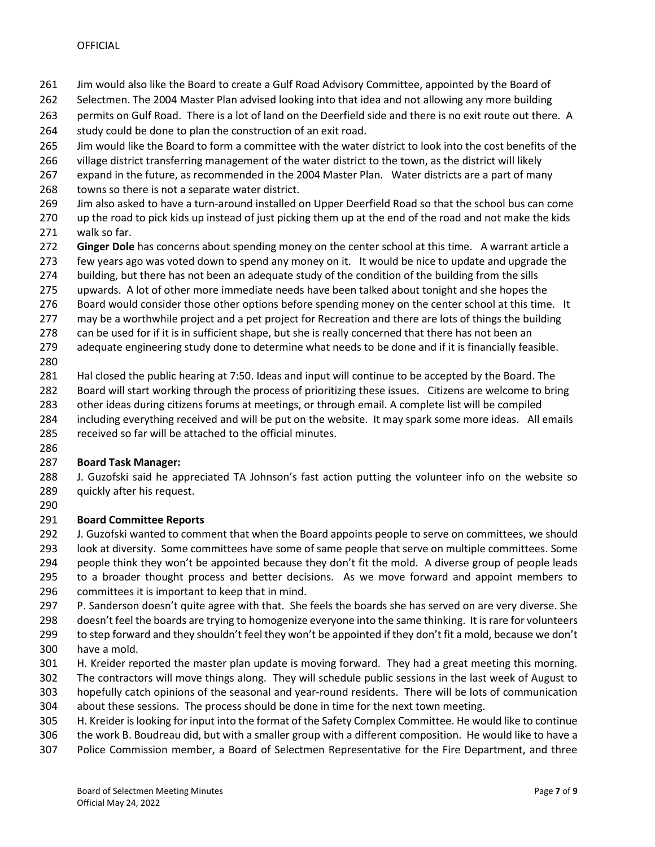- Jim would also like the Board to create a Gulf Road Advisory Committee, appointed by the Board of
- Selectmen. The 2004 Master Plan advised looking into that idea and not allowing any more building
- permits on Gulf Road. There is a lot of land on the Deerfield side and there is no exit route out there. A
- 264 study could be done to plan the construction of an exit road.
- Jim would like the Board to form a committee with the water district to look into the cost benefits of the
- village district transferring management of the water district to the town, as the district will likely
- expand in the future, as recommended in the 2004 Master Plan. Water districts are a part of many
- towns so there is not a separate water district.
- Jim also asked to have a turn-around installed on Upper Deerfield Road so that the school bus can come
- 270 up the road to pick kids up instead of just picking them up at the end of the road and not make the kids walk so far.
- **Ginger Dole** has concerns about spending money on the center school at this time. A warrant article a
- 273 few years ago was voted down to spend any money on it. It would be nice to update and upgrade the
- building, but there has not been an adequate study of the condition of the building from the sills
- upwards. A lot of other more immediate needs have been talked about tonight and she hopes the
- 276 Board would consider those other options before spending money on the center school at this time. It
- 277 may be a worthwhile project and a pet project for Recreation and there are lots of things the building
- 278 can be used for if it is in sufficient shape, but she is really concerned that there has not been an
- adequate engineering study done to determine what needs to be done and if it is financially feasible.
- 
- Hal closed the public hearing at 7:50. Ideas and input will continue to be accepted by the Board. The
- Board will start working through the process of prioritizing these issues. Citizens are welcome to bring
- other ideas during citizens forums at meetings, or through email. A complete list will be compiled
- 284 including everything received and will be put on the website. It may spark some more ideas. All emails
- received so far will be attached to the official minutes.
- 

## **Board Task Manager:**

- J. Guzofski said he appreciated TA Johnson's fast action putting the volunteer info on the website so quickly after his request.
- 

## **Board Committee Reports**

 J. Guzofski wanted to comment that when the Board appoints people to serve on committees, we should look at diversity. Some committees have some of same people that serve on multiple committees. Some people think they won't be appointed because they don't fit the mold. A diverse group of people leads

- to a broader thought process and better decisions. As we move forward and appoint members to
- committees it is important to keep that in mind.
- P. Sanderson doesn't quite agree with that. She feels the boards she has served on are very diverse. She
- doesn't feel the boards are trying to homogenize everyone into the same thinking. It is rare for volunteers
- to step forward and they shouldn't feel they won't be appointed if they don't fit a mold, because we don't
- have a mold.
- H. Kreider reported the master plan update is moving forward. They had a great meeting this morning.
- The contractors will move things along. They will schedule public sessions in the last week of August to hopefully catch opinions of the seasonal and year-round residents. There will be lots of communication
- about these sessions. The process should be done in time for the next town meeting.
- H. Kreider is looking for input into the format of the Safety Complex Committee. He would like to continue
- the work B. Boudreau did, but with a smaller group with a different composition. He would like to have a
- Police Commission member, a Board of Selectmen Representative for the Fire Department, and three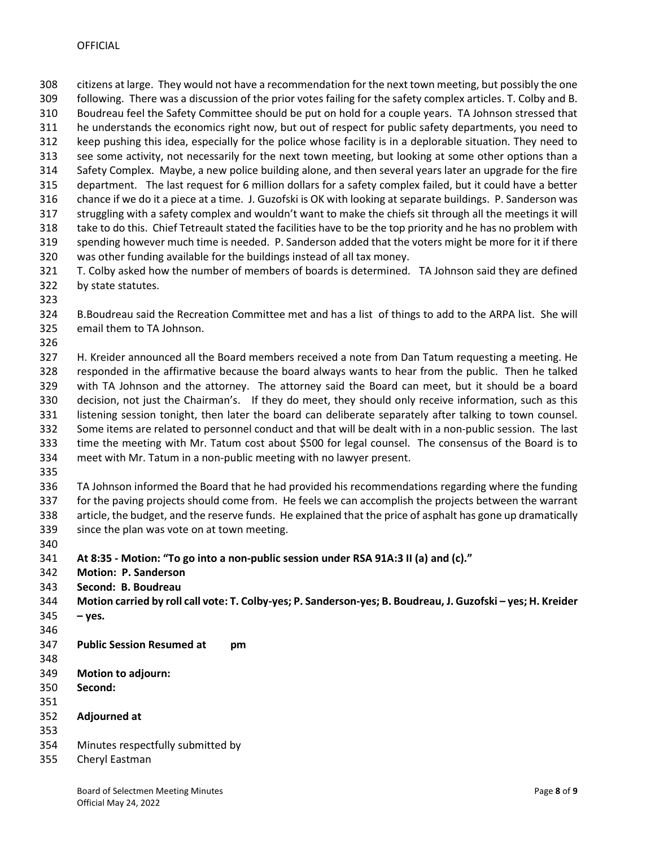citizens at large. They would not have a recommendation for the next town meeting, but possibly the one following. There was a discussion of the prior votes failing for the safety complex articles. T. Colby and B. Boudreau feel the Safety Committee should be put on hold for a couple years. TA Johnson stressed that he understands the economics right now, but out of respect for public safety departments, you need to keep pushing this idea, especially for the police whose facility is in a deplorable situation. They need to see some activity, not necessarily for the next town meeting, but looking at some other options than a Safety Complex. Maybe, a new police building alone, and then several years later an upgrade for the fire department. The last request for 6 million dollars for a safety complex failed, but it could have a better chance if we do it a piece at a time. J. Guzofski is OK with looking at separate buildings. P. Sanderson was struggling with a safety complex and wouldn't want to make the chiefs sit through all the meetings it will take to do this. Chief Tetreault stated the facilities have to be the top priority and he has no problem with spending however much time is needed. P. Sanderson added that the voters might be more for it if there was other funding available for the buildings instead of all tax money. T. Colby asked how the number of members of boards is determined. TA Johnson said they are defined

- by state statutes.
- 

 B.Boudreau said the Recreation Committee met and has a list of things to add to the ARPA list. She will email them to TA Johnson.

 H. Kreider announced all the Board members received a note from Dan Tatum requesting a meeting. He responded in the affirmative because the board always wants to hear from the public. Then he talked with TA Johnson and the attorney. The attorney said the Board can meet, but it should be a board decision, not just the Chairman's. If they do meet, they should only receive information, such as this listening session tonight, then later the board can deliberate separately after talking to town counsel. Some items are related to personnel conduct and that will be dealt with in a non-public session. The last time the meeting with Mr. Tatum cost about \$500 for legal counsel. The consensus of the Board is to meet with Mr. Tatum in a non-public meeting with no lawyer present.

 TA Johnson informed the Board that he had provided his recommendations regarding where the funding for the paving projects should come from. He feels we can accomplish the projects between the warrant article, the budget, and the reserve funds. He explained that the price of asphalt has gone up dramatically since the plan was vote on at town meeting.

**At 8:35 - Motion: "To go into a non-public session under RSA 91A:3 II (a) and (c)."**

- **Motion: P. Sanderson**
- **Second: B. Boudreau**
- **Motion carried by roll call vote: T. Colby-yes; P. Sanderson-yes; B. Boudreau, J. Guzofski – yes; H. Kreider – yes.**
- 
- **Public Session Resumed at pm**
- 
- **Motion to adjourn:**
- **Second:**
- 
- **Adjourned at**
- 
- Minutes respectfully submitted by
- Cheryl Eastman